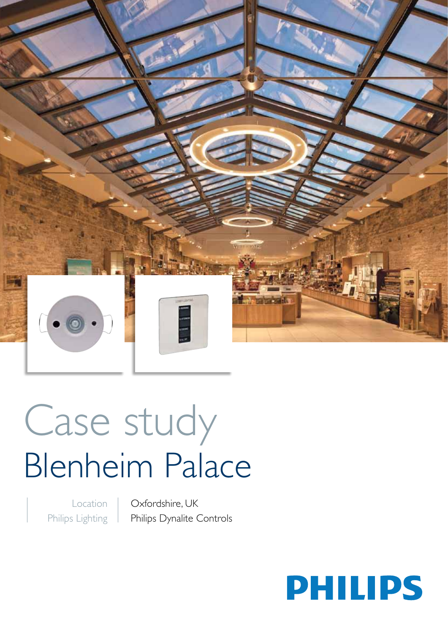

# Case study Blenheim Palace

L.

Location Philips Lighting Oxfordshire, UK Philips Dynalite Controls

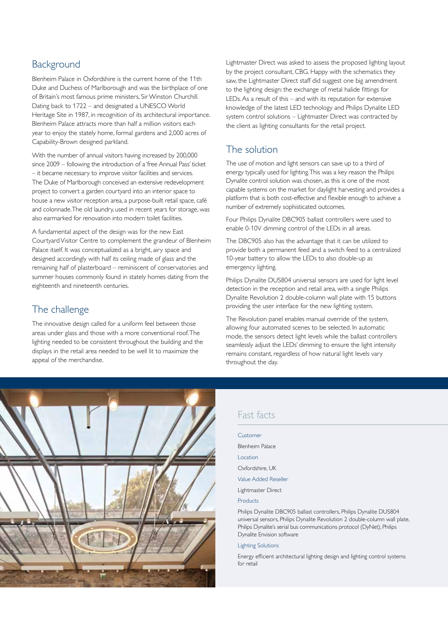#### Background

Blenheim Palace in Oxfordshire is the current home of the 11th Duke and Duchess of Marlborough and was the birthplace of one of Britain's most famous prime ministers, Sir Winston Churchill. Dating back to 1722 – and designated a UNESCO World Heritage Site in 1987, in recognition of its architectural importance. Blenheim Palace attracts more than half a million visitors each year to enjoy the stately home, formal gardens and 2,000 acres of Capability-Brown designed parkland.

With the number of annual visitors having increased by 200,000 since 2009 – following the introduction of a 'free Annual Pass' ticket – it became necessary to improve visitor facilities and services. The Duke of Marlborough conceived an extensive redevelopment project to convert a garden courtyard into an interior space to house a new visitor reception area, a purpose-built retail space, café and colonnade. The old laundry, used in recent years for storage, was also earmarked for renovation into modern toilet facilities.

A fundamental aspect of the design was for the new East Courtyard Visitor Centre to complement the grandeur of Blenheim Palace itself. It was conceptualized as a bright, airy space and designed accordingly with half its ceiling made of glass and the remaining half of plasterboard – reminiscent of conservatories and summer houses commonly found in stately homes dating from the eighteenth and nineteenth centuries.

### The challenge

The innovative design called for a uniform feel between those areas under glass and those with a more conventional roof. The lighting needed to be consistent throughout the building and the displays in the retail area needed to be well lit to maximize the appeal of the merchandise.

Lightmaster Direct was asked to assess the proposed lighting layout by the project consultant, CBG. Happy with the schematics they saw, the Lightmaster Direct staff did suggest one big amendment to the lighting design: the exchange of metal halide fittings for LEDs. As a result of this – and with its reputation for extensive knowledge of the latest LED technology and Philips Dynalite LED system control solutions – Lightmaster Direct was contracted by the client as lighting consultants for the retail project.

#### The solution

The use of motion and light sensors can save up to a third of energy typically used for lighting. This was a key reason the Philips Dynalite control solution was chosen, as this is one of the most capable systems on the market for daylight harvesting and provides a platform that is both cost-effective and flexible enough to achieve a number of extremely sophisticated outcomes.

Four Philips Dynalite DBC905 ballast controllers were used to enable 0-10V dimming control of the LEDs in all areas.

The DBC905 also has the advantage that it can be utilized to provide both a permanent feed and a switch feed to a centralized 10-year battery to allow the LEDs to also double-up as emergency lighting.

Philips Dynalite DUS804 universal sensors are used for light level detection in the reception and retail area, with a single Philips Dynalite Revolution 2 double-column wall plate with 15 buttons providing the user interface for the new lighting system.

The Revolution panel enables manual override of the system, allowing four automated scenes to be selected. In automatic mode, the sensors detect light levels while the ballast controllers seamlessly adjust the LEDs' dimming to ensure the light intensity remains constant, regardless of how natural light levels vary throughout the day.



#### Fast facts

| Customer                                                                                                                                                                                                                                                   |
|------------------------------------------------------------------------------------------------------------------------------------------------------------------------------------------------------------------------------------------------------------|
| Blenheim Palace                                                                                                                                                                                                                                            |
| Location                                                                                                                                                                                                                                                   |
| Oxfordshire, UK                                                                                                                                                                                                                                            |
| Value Added Reseller                                                                                                                                                                                                                                       |
| Lightmaster Direct                                                                                                                                                                                                                                         |
| Products                                                                                                                                                                                                                                                   |
| Philips Dynalite DBC905 ballast controllers, Philips Dynalite DUS804<br>universal sensors, Philips Dynalite Revolution 2 double-column wall plate,<br>Philips Dynalite's serial bus communications protocol (DyNet), Philips<br>Dynalite Envision software |

#### Lighting Solutions

Energy efficient architectural lighting design and lighting control systems for retail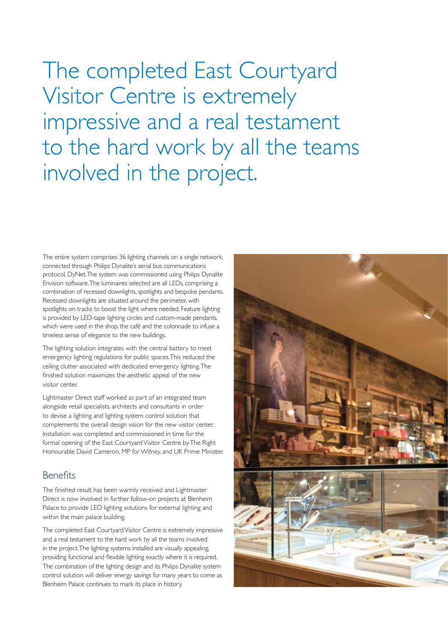The completed East Courtyard Visitor Centre is extremely impressive and a real testament to the hard work by all the teams involved in the project.

The entire system comprises 36 lighting channels on a single network, connected through Philips Dynalite's serial bus communications protocol, DyNet. The system was commissioned using Philips Dynalite Envision software. The luminaires selected are all LEDs, comprising a combination of recessed downlights, spotlights and bespoke pendants. Recessed downlights are situated around the perimeter, with spotlights on tracks to boost the light where needed. Feature lighting is provided by LED-tape lighting circles and custom-made pendants, which were used in the shop, the café and the colonnade to infuse a timeless sense of elegance to the new buildings.

The lighting solution integrates with the central battery to meet emergency lighting regulations for public spaces. This reduced the ceiling clutter associated with dedicated emergency lighting. The finished solution maximizes the aesthetic appeal of the new visitor center.

Lightmaster Direct staff worked as part of an integrated team alongside retail specialists, architects and consultants in order to devise a lighting and lighting system control solution that complements the overall design vision for the new visitor center. Installation was completed and commissioned in time for the formal opening of the East Courtyard Visitor Centre by The Right Honourable David Cameron, MP for Witney, and UK Prime Minister.

#### Benefits

The finished result has been warmly received and Lightmaster Direct is now involved in further follow-on projects at Blenheim Palace to provide LED lighting solutions for external lighting and within the main palace building.

The completed East Courtyard Visitor Centre is extremely impressive and a real testament to the hard work by all the teams involved in the project. The lighting systems installed are visually appealing, providing functional and flexible lighting exactly where it is required. The combination of the lighting design and its Philips Dynalite system control solution will deliver energy savings for many years to come as Blenheim Palace continues to mark its place in history.